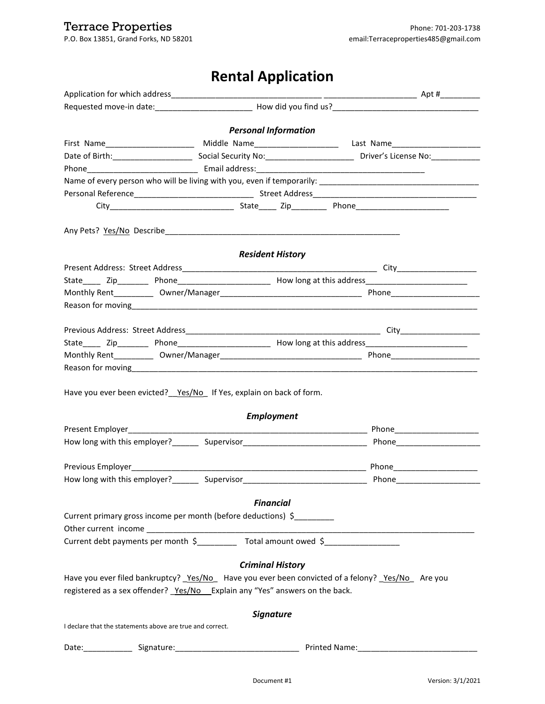## **Rental Application**

|                                                                              | <b>Personal Information</b> |                                                                                                                                                                                                                                |
|------------------------------------------------------------------------------|-----------------------------|--------------------------------------------------------------------------------------------------------------------------------------------------------------------------------------------------------------------------------|
|                                                                              |                             | First Name_______________________ Middle Name______________________ Last Name______________________                                                                                                                            |
|                                                                              |                             |                                                                                                                                                                                                                                |
|                                                                              |                             |                                                                                                                                                                                                                                |
|                                                                              |                             |                                                                                                                                                                                                                                |
|                                                                              |                             |                                                                                                                                                                                                                                |
|                                                                              |                             |                                                                                                                                                                                                                                |
|                                                                              |                             |                                                                                                                                                                                                                                |
|                                                                              |                             |                                                                                                                                                                                                                                |
|                                                                              | <b>Resident History</b>     |                                                                                                                                                                                                                                |
|                                                                              |                             |                                                                                                                                                                                                                                |
|                                                                              |                             |                                                                                                                                                                                                                                |
|                                                                              |                             |                                                                                                                                                                                                                                |
|                                                                              |                             |                                                                                                                                                                                                                                |
|                                                                              |                             |                                                                                                                                                                                                                                |
|                                                                              |                             |                                                                                                                                                                                                                                |
|                                                                              |                             |                                                                                                                                                                                                                                |
|                                                                              |                             |                                                                                                                                                                                                                                |
| Have you ever been evicted? _ Yes/No If Yes, explain on back of form.        | <b>Employment</b>           |                                                                                                                                                                                                                                |
|                                                                              |                             |                                                                                                                                                                                                                                |
|                                                                              |                             |                                                                                                                                                                                                                                |
| Previous Employer__________________                                          |                             |                                                                                                                                                                                                                                |
|                                                                              |                             |                                                                                                                                                                                                                                |
|                                                                              |                             |                                                                                                                                                                                                                                |
|                                                                              | <b>Financial</b>            |                                                                                                                                                                                                                                |
| Current primary gross income per month (before deductions) \$                |                             |                                                                                                                                                                                                                                |
|                                                                              |                             |                                                                                                                                                                                                                                |
|                                                                              |                             | Current debt payments per month \$____________ Total amount owed \$_______________                                                                                                                                             |
|                                                                              | <b>Criminal History</b>     |                                                                                                                                                                                                                                |
|                                                                              |                             | Have you ever filed bankruptcy? Yes/No Have you ever been convicted of a felony? Yes/No Are you                                                                                                                                |
| registered as a sex offender? Yes/No _Explain any "Yes" answers on the back. |                             |                                                                                                                                                                                                                                |
|                                                                              | <b>Signature</b>            |                                                                                                                                                                                                                                |
| I declare that the statements above are true and correct.                    |                             |                                                                                                                                                                                                                                |
|                                                                              |                             | Date: Signature: Signature: Signature: Signature: Signature: Signature: Signature: Signature: Signature: Signature: Signature: Signature: Signature: Signature: Signature: Signature: Signature: Signature: Signature: Signatu |
|                                                                              |                             |                                                                                                                                                                                                                                |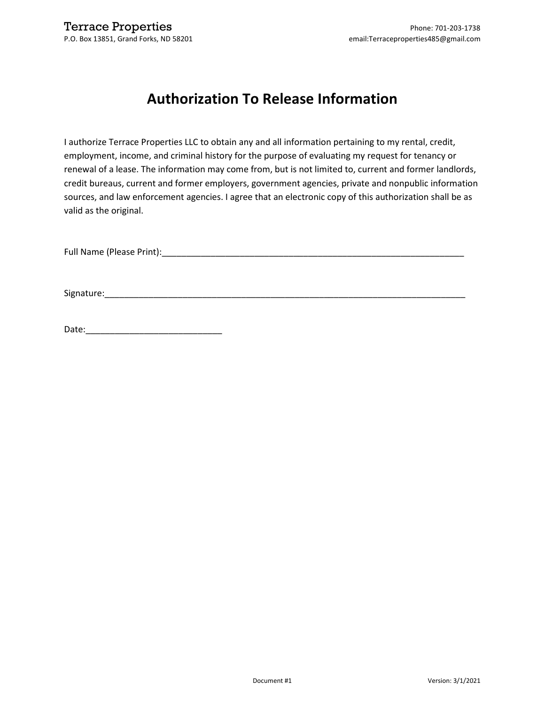## **Authorization To Release Information**

I authorize Terrace Properties LLC to obtain any and all information pertaining to my rental, credit, employment, income, and criminal history for the purpose of evaluating my request for tenancy or renewal of a lease. The information may come from, but is not limited to, current and former landlords, credit bureaus, current and former employers, government agencies, private and nonpublic information sources, and law enforcement agencies. I agree that an electronic copy of this authorization shall be as valid as the original.

Full Name (Please Print):\_\_\_\_\_\_\_\_\_\_\_\_\_\_\_\_\_\_\_\_\_\_\_\_\_\_\_\_\_\_\_\_\_\_\_\_\_\_\_\_\_\_\_\_\_\_\_\_\_\_\_\_\_\_\_\_\_\_\_\_\_\_

Signature:\_\_\_\_\_\_\_\_\_\_\_\_\_\_\_\_\_\_\_\_\_\_\_\_\_\_\_\_\_\_\_\_\_\_\_\_\_\_\_\_\_\_\_\_\_\_\_\_\_\_\_\_\_\_\_\_\_\_\_\_\_\_\_\_\_\_\_\_\_\_\_\_\_\_

Date:\_\_\_\_\_\_\_\_\_\_\_\_\_\_\_\_\_\_\_\_\_\_\_\_\_\_\_\_